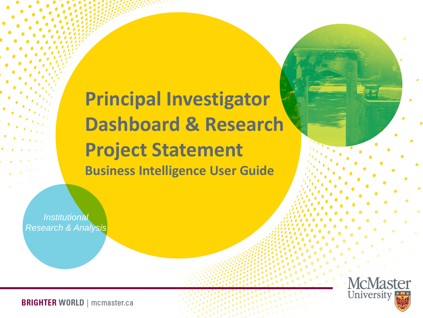**Principal Investigator Dashboard & Research Project Statement Business Intelligence User Guide**

*Institutional Research & Analysis*

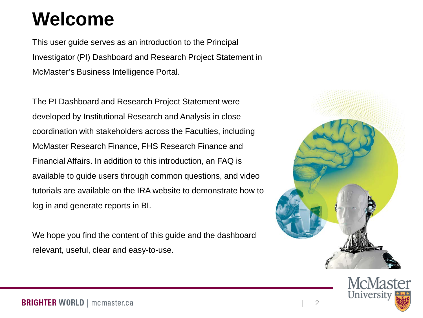# **Welcome**

This user guide serves as an introduction to the Principal Investigator (PI) Dashboard and Research Project Statement in McMaster's Business Intelligence Portal.

The PI Dashboard and Research Project Statement were developed by Institutional Research and Analysis in close coordination with stakeholders across the Faculties, including McMaster Research Finance, FHS Research Finance and Financial Affairs. In addition to this introduction, an FAQ is available to guide users through common questions, and video tutorials are available on the IRA website to demonstrate how to log in and generate reports in BI.

We hope you find the content of this guide and the dashboard relevant, useful, clear and easy-to-use.



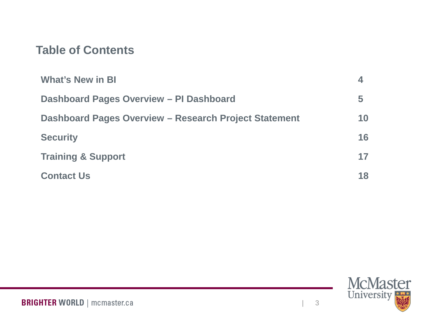### **Table of Contents**

| <b>What's New in BI</b>                               |    |
|-------------------------------------------------------|----|
| Dashboard Pages Overview - PI Dashboard               | 5  |
| Dashboard Pages Overview - Research Project Statement | 10 |
| <b>Security</b>                                       | 16 |
| <b>Training &amp; Support</b>                         | 17 |
| <b>Contact Us</b>                                     | 18 |

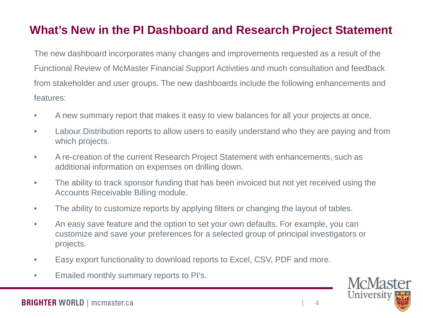## **What's New in the PI Dashboard and Research Project Statement**

The new dashboard incorporates many changes and improvements requested as a result of the Functional Review of McMaster Financial Support Activities and much consultation and feedback from stakeholder and user groups. The new dashboards include the following enhancements and features:

- A new summary report that makes it easy to view balances for all your projects at once.
- Labour Distribution reports to allow users to easily understand who they are paying and from which projects.
- A re-creation of the current Research Project Statement with enhancements, such as additional information on expenses on drilling down.
- The ability to track sponsor funding that has been invoiced but not yet received using the Accounts Receivable Billing module.
- The ability to customize reports by applying filters or changing the layout of tables.
- An easy save feature and the option to set your own defaults. For example, you can customize and save your preferences for a selected group of principal investigators or projects.
- Easy export functionality to download reports to Excel, CSV, PDF and more.
- Emailed monthly summary reports to PI's.

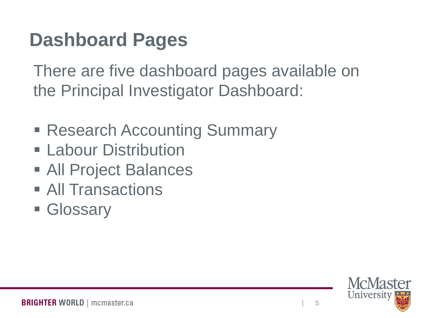# **Dashboard Pages**

There are five dashboard pages available on the Principal Investigator Dashboard:

- Research Accounting Summary
- **Eabour Distribution**
- All Project Balances
- **All Transactions**
- **Glossary**

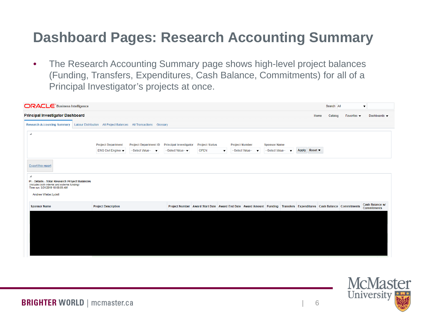## **Dashboard Pages: Research Accounting Summary**

• The Research Accounting Summary page shows high-level project balances (Funding, Transfers, Expenditures, Cash Balance, Commitments) for all of a Principal Investigator's projects at once.

| <b>Principal Investigator Dashboard</b><br><b>Research Accounting Summary</b><br><b>Labour Distribution</b><br>$\blacktriangleleft$<br><b>Export this report</b> | All Project Balances All Transactions Glossary<br><b>Project Department</b><br><b>Project Department ID</b><br>ENG Civil Enginee v<br>--Select Value-- | <b>Principal Investigator</b><br>--Select Value-- ▼ | <b>Project Status</b>                  | <b>Project Number</b>                                                                                               | <b>Sponsor Name</b>                          | Home          | Catalog | Favorites $\blacktriangledown$ | Dashboards v                          |
|------------------------------------------------------------------------------------------------------------------------------------------------------------------|--------------------------------------------------------------------------------------------------------------------------------------------------------|-----------------------------------------------------|----------------------------------------|---------------------------------------------------------------------------------------------------------------------|----------------------------------------------|---------------|---------|--------------------------------|---------------------------------------|
|                                                                                                                                                                  |                                                                                                                                                        |                                                     |                                        |                                                                                                                     |                                              |               |         |                                |                                       |
|                                                                                                                                                                  |                                                                                                                                                        |                                                     |                                        |                                                                                                                     |                                              |               |         |                                |                                       |
|                                                                                                                                                                  |                                                                                                                                                        |                                                     |                                        |                                                                                                                     |                                              |               |         |                                |                                       |
|                                                                                                                                                                  |                                                                                                                                                        |                                                     | <b>OPEN</b><br>$\overline{\mathbf{v}}$ | --Select Value--                                                                                                    | --Select Value--<br>$\overline{\phantom{a}}$ | Apply Reset ▼ |         |                                |                                       |
|                                                                                                                                                                  |                                                                                                                                                        |                                                     |                                        |                                                                                                                     |                                              |               |         |                                |                                       |
| ⊿<br>PI - Details - Total Research Project Balances<br>(includes both internal and external funding)<br>Time run: 5/31/2019 10:06:09 AM<br>Andree Wiebe, Lydell  |                                                                                                                                                        |                                                     |                                        |                                                                                                                     |                                              |               |         |                                |                                       |
| <b>Project Description</b><br><b>Sponsor Name</b>                                                                                                                |                                                                                                                                                        |                                                     |                                        | Project Number Award Start Date Award End Date Award Amount Funding Transfers Expenditures Cash Balance Commitments |                                              |               |         |                                | Cash Balance w/<br><b>Commitments</b> |

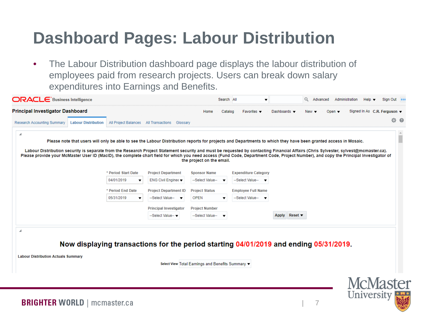## **Dashboard Pages: Labour Distribution**

• The Labour Distribution dashboard page displays the labour distribution of employees paid from research projects. Users can break down salary expenditures into Earnings and Benefits.

| <b>Principal Investigator Dashboard</b>                                                                                                                                                                                                                                                                                                                                      |                     |                                                                                       | Home                                              | Catalog                  | Favorites $\blacktriangledown$ | Dashboards $\blacktriangledown$            | $New -$ | Open $\blacktriangledown$ | Signed In As C.R. Ferguson ▼ |          |
|------------------------------------------------------------------------------------------------------------------------------------------------------------------------------------------------------------------------------------------------------------------------------------------------------------------------------------------------------------------------------|---------------------|---------------------------------------------------------------------------------------|---------------------------------------------------|--------------------------|--------------------------------|--------------------------------------------|---------|---------------------------|------------------------------|----------|
| <b>Research Accounting Summary</b><br><b>Labour Distribution</b>                                                                                                                                                                                                                                                                                                             |                     | All Project Balances All Transactions Glossary                                        |                                                   |                          |                                |                                            |         |                           |                              | $\Phi$ 0 |
| ◢                                                                                                                                                                                                                                                                                                                                                                            |                     |                                                                                       |                                                   |                          |                                |                                            |         |                           |                              |          |
| Please note that users will only be able to see the Labour Distribution reports for projects and Departments to which they have been granted access in Mosaic.                                                                                                                                                                                                               |                     |                                                                                       |                                                   |                          |                                |                                            |         |                           |                              |          |
| Labour Distribution security is separate from the Research Project Statement security and must be requested by contacting Financial Affairs (Chris Sylvester, sylvest@mcmaster.ca).<br>Please provide your McMaster User ID (MacID), the complete chart field for which you need access (Fund Code, Department Code, Project Number), and copy the Principal Investigator of |                     |                                                                                       | the project on the email.                         |                          |                                |                                            |         |                           |                              |          |
|                                                                                                                                                                                                                                                                                                                                                                              | * Period Start Date | <b>Project Department</b>                                                             | <b>Sponsor Name</b>                               |                          | <b>Expenditure Category</b>    |                                            |         |                           |                              |          |
|                                                                                                                                                                                                                                                                                                                                                                              | 04/01/2019<br>▼     | ENG Civil Enginee $\blacktriangledown$                                                | --Select Value--                                  |                          | --Select Value-- v             |                                            |         |                           |                              |          |
|                                                                                                                                                                                                                                                                                                                                                                              | * Period End Date   | <b>Project Department ID</b>                                                          | <b>Project Status</b>                             |                          | <b>Employee Full Name</b>      |                                            |         |                           |                              |          |
|                                                                                                                                                                                                                                                                                                                                                                              | 05/31/2019          | --Select Value-- v                                                                    | <b>OPEN</b>                                       |                          | --Select Value-- v             |                                            |         |                           |                              |          |
|                                                                                                                                                                                                                                                                                                                                                                              |                     | <b>Principal Investigator</b>                                                         | <b>Project Number</b>                             |                          |                                |                                            |         |                           |                              |          |
|                                                                                                                                                                                                                                                                                                                                                                              |                     | --Select Value-- ▼                                                                    | --Select Value--                                  | $\overline{\phantom{a}}$ |                                | Reset $\blacktriangledown$<br><b>Apply</b> |         |                           |                              |          |
|                                                                                                                                                                                                                                                                                                                                                                              |                     |                                                                                       |                                                   |                          |                                |                                            |         |                           |                              |          |
|                                                                                                                                                                                                                                                                                                                                                                              |                     |                                                                                       |                                                   |                          |                                |                                            |         |                           |                              |          |
|                                                                                                                                                                                                                                                                                                                                                                              |                     | Now displaying transactions for the period starting 04/01/2019 and ending 05/31/2019. |                                                   |                          |                                |                                            |         |                           |                              |          |
|                                                                                                                                                                                                                                                                                                                                                                              |                     |                                                                                       |                                                   |                          |                                |                                            |         |                           |                              |          |
| <b>Labour Distribution Actuals Summary</b>                                                                                                                                                                                                                                                                                                                                   |                     |                                                                                       | Select View Total Earnings and Benefits Summary ▼ |                          |                                |                                            |         |                           |                              |          |
|                                                                                                                                                                                                                                                                                                                                                                              |                     |                                                                                       |                                                   |                          |                                |                                            |         |                           |                              |          |
|                                                                                                                                                                                                                                                                                                                                                                              |                     |                                                                                       |                                                   |                          |                                |                                            |         |                           | McMastei                     |          |
|                                                                                                                                                                                                                                                                                                                                                                              |                     |                                                                                       |                                                   |                          |                                |                                            |         |                           |                              |          |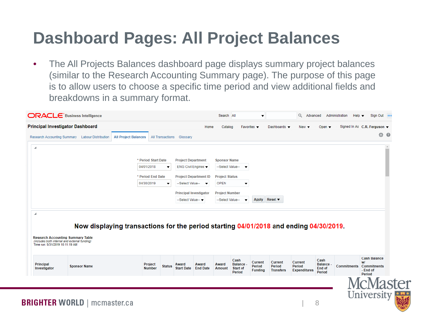## **Dashboard Pages: All Project Balances**

• The All Projects Balances dashboard page displays summary project balances (similar to the Research Accounting Summary page). The purpose of this page is to allow users to choose a specific time period and view additional fields and breakdowns in a summary format.

|                                                                                                                      | <b>Principal Investigator Dashboard</b>         |                                                                                       |                         |                                                        | Home<br>Catalog        |                                                     | Favorites $\blacktriangledown$             | Dashboards v                                 | $New -$                                  | Open $\blacktriangledown$                  |                    | Signed In As C.R. Ferguson ▼                                          |
|----------------------------------------------------------------------------------------------------------------------|-------------------------------------------------|---------------------------------------------------------------------------------------|-------------------------|--------------------------------------------------------|------------------------|-----------------------------------------------------|--------------------------------------------|----------------------------------------------|------------------------------------------|--------------------------------------------|--------------------|-----------------------------------------------------------------------|
|                                                                                                                      | Research Accounting Summary Labour Distribution | <b>All Project Balances</b>                                                           | <b>All Transactions</b> | Glossary                                               |                        |                                                     |                                            |                                              |                                          |                                            |                    | 登<br>$\bullet$                                                        |
| ◢                                                                                                                    |                                                 |                                                                                       |                         |                                                        |                        |                                                     |                                            |                                              |                                          |                                            |                    |                                                                       |
|                                                                                                                      |                                                 | * Period Start Date                                                                   |                         | <b>Project Department</b>                              | <b>Sponsor Name</b>    |                                                     |                                            |                                              |                                          |                                            |                    |                                                                       |
|                                                                                                                      |                                                 | 04/01/2018                                                                            | $\blacktriangledown$    | ENG Civil Enginee ▼                                    | --Select Value--       |                                                     |                                            |                                              |                                          |                                            |                    |                                                                       |
|                                                                                                                      |                                                 | * Period End Date                                                                     |                         | <b>Project Department ID</b>                           | <b>Project Status</b>  |                                                     |                                            |                                              |                                          |                                            |                    |                                                                       |
|                                                                                                                      |                                                 | 04/30/2019                                                                            | $\overline{\mathbf{v}}$ | --Select Value-- v                                     | <b>OPEN</b>            | ▼                                                   |                                            |                                              |                                          |                                            |                    |                                                                       |
|                                                                                                                      |                                                 |                                                                                       |                         | <b>Principal Investigator</b>                          | <b>Project Number</b>  |                                                     |                                            |                                              |                                          |                                            |                    |                                                                       |
|                                                                                                                      |                                                 |                                                                                       |                         | --Select Value--                                       | --Select Value--       |                                                     |                                            | Apply Reset ▼                                |                                          |                                            |                    |                                                                       |
| ◢                                                                                                                    |                                                 |                                                                                       |                         |                                                        |                        |                                                     |                                            |                                              |                                          |                                            |                    |                                                                       |
|                                                                                                                      | <b>Research Accounting Summary Table</b>        | Now displaying transactions for the period starting 04/01/2018 and ending 04/30/2019. |                         |                                                        |                        |                                                     |                                            |                                              |                                          |                                            |                    |                                                                       |
| (includes both internal and external funding)<br>Time run: 5/31/2019 10:11:19 AM<br><b>Principal</b><br>Investigator | <b>Sponsor Name</b>                             | Project<br><b>Number</b>                                                              | <b>Status</b>           | Award<br>Award<br><b>Start Date</b><br><b>End Date</b> | Award<br><b>Amount</b> | Cash<br><b>Balance</b><br><b>Start of</b><br>Period | <b>Current</b><br>Period<br><b>Funding</b> | <b>Current</b><br>Period<br><b>Transfers</b> | Current<br>Period<br><b>Expenditures</b> | Cash<br><b>Balance</b><br>End of<br>Period | <b>Commitments</b> | <b>Cash Balance</b><br>wi<br><b>Commitments</b><br>- End of<br>Period |
|                                                                                                                      |                                                 |                                                                                       |                         |                                                        |                        |                                                     |                                            |                                              |                                          |                                            |                    | ⁄lasto                                                                |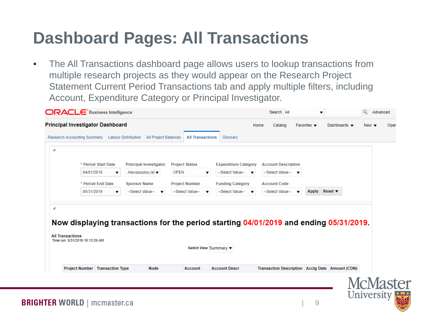## **Dashboard Pages: All Transactions**

• The All Transactions dashboard page allows users to lookup transactions from multiple research projects as they would appear on the Research Project Statement Current Period Transactions tab and apply multiple filters, including Account, Expenditure Category or Principal Investigator.

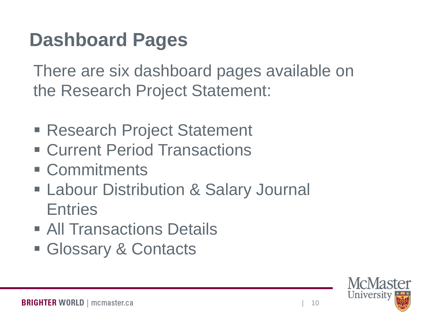# **Dashboard Pages**

There are six dashboard pages available on the Research Project Statement:

- Research Project Statement
- Current Period Transactions
- **E** Commitments
- **Eabour Distribution & Salary Journal Entries**
- **All Transactions Details**
- **Glossary & Contacts**

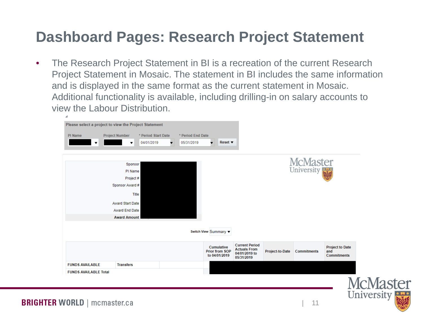## **Dashboard Pages: Research Project Statement**

• The Research Project Statement in BI is a recreation of the current Research Project Statement in Mosaic. The statement in BI includes the same information and is displayed in the same format as the current statement in Mosaic. Additional functionality is available, including drilling-in on salary accounts to view the Labour Distribution.

|                                 | Please select a project to view the Project Statement                                                                         |                                        |                                 |                                                      |                                                                             |                 |                               |                                                     |
|---------------------------------|-------------------------------------------------------------------------------------------------------------------------------|----------------------------------------|---------------------------------|------------------------------------------------------|-----------------------------------------------------------------------------|-----------------|-------------------------------|-----------------------------------------------------|
| PI Name<br>$\blacktriangledown$ | <b>Project Number</b><br>$\blacktriangledown$                                                                                 | * Period Start Date<br>04/01/2019<br>▼ | * Period End Date<br>05/31/2019 | Reset $\blacktriangledown$<br>▼                      |                                                                             |                 |                               |                                                     |
|                                 | Sponsor<br>PI Name<br>Project #<br>Sponsor Award #<br><b>Award Start Date</b><br><b>Award End Date</b><br><b>Award Amount</b> | Title                                  |                                 |                                                      |                                                                             |                 | <b>McMaster</b><br>University |                                                     |
|                                 |                                                                                                                               |                                        |                                 | Switch View Summary ▼                                |                                                                             |                 |                               |                                                     |
|                                 |                                                                                                                               |                                        |                                 | Cumulative<br><b>Prior from SOP</b><br>to 04/01/2019 | <b>Current Period</b><br><b>Actuals From</b><br>04/01/2019 to<br>05/31/2019 | Project-to-Date | <b>Commitments</b>            | <b>Project to Date</b><br>and<br><b>Commitments</b> |
| <b>FUNDS AVAILABLE</b>          | <b>Transfers</b>                                                                                                              |                                        |                                 |                                                      |                                                                             |                 |                               |                                                     |
| <b>FUNDS AVAILABLE Total</b>    |                                                                                                                               |                                        |                                 |                                                      |                                                                             |                 |                               | ۰.                                                  |

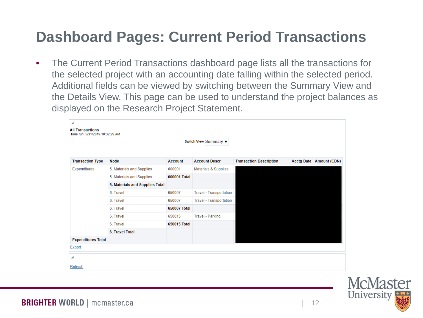## **Dashboard Pages: Current Period Transactions**

• The Current Period Transactions dashboard page lists all the transactions for the selected project with an accounting date falling within the selected period. Additional fields can be viewed by switching between the Summary View and the Details View. This page can be used to understand the project balances as displayed on the Research Project Statement.

| ◢<br><b>All Transactions</b><br>Time run: 5/31/2019 10:32:29 AM |                                 |                | Switch View Summary ▼          |                                |                           |
|-----------------------------------------------------------------|---------------------------------|----------------|--------------------------------|--------------------------------|---------------------------|
| <b>Transaction Type</b>                                         | <b>Node</b>                     | <b>Account</b> | <b>Account Descr</b>           | <b>Transaction Description</b> | Acctg Date   Amount (CDN) |
| Expenditures                                                    | 5. Materials and Supplies       | 600001         | Materials & Supplies           |                                |                           |
|                                                                 | 5. Materials and Supplies       | 600001 Total   |                                |                                |                           |
|                                                                 | 5. Materials and Supplies Total |                |                                |                                |                           |
|                                                                 | 6. Travel                       | 650007         | <b>Travel - Transportation</b> |                                |                           |
|                                                                 | 6. Travel                       | 650007         | <b>Travel - Transportation</b> |                                |                           |
|                                                                 | 6. Travel                       | 650007 Total   |                                |                                |                           |
|                                                                 | 6. Travel                       | 650015         | Travel - Parking               |                                |                           |
|                                                                 | 6. Travel                       | 650015 Total   |                                |                                |                           |
|                                                                 | 6. Travel Total                 |                |                                |                                |                           |
| <b>Expenditures Total</b>                                       |                                 |                |                                |                                |                           |
| Export                                                          |                                 |                |                                |                                |                           |
| ◢                                                               |                                 |                |                                |                                |                           |
| Refresh                                                         |                                 |                |                                |                                |                           |

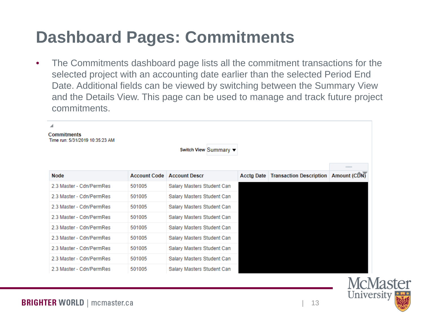## **Dashboard Pages: Commitments**

• The Commitments dashboard page lists all the commitment transactions for the selected project with an accounting date earlier than the selected Period End Date. Additional fields can be viewed by switching between the Summary View and the Details View. This page can be used to manage and track future project commitments.

| ◢<br><b>Commitments</b><br>Time run: 5/31/2019 10:35:23 AM |                     |                            |                   |                                |                     |
|------------------------------------------------------------|---------------------|----------------------------|-------------------|--------------------------------|---------------------|
|                                                            |                     | Switch View Summary ▼      |                   |                                |                     |
|                                                            |                     |                            |                   |                                | 111111111           |
| <b>Node</b>                                                | <b>Account Code</b> | <b>Account Descr</b>       | <b>Acctg Date</b> | <b>Transaction Description</b> | <b>Amount (CDN)</b> |
| 2.3 Master - Cdn/PermRes                                   | 501005              | Salary Masters Student Can |                   |                                |                     |
| 2.3 Master - Cdn/PermRes                                   | 501005              | Salary Masters Student Can |                   |                                |                     |
| 2.3 Master - Cdn/PermRes                                   | 501005              | Salary Masters Student Can |                   |                                |                     |
| 2.3 Master - Cdn/PermRes                                   | 501005              | Salary Masters Student Can |                   |                                |                     |
| 2.3 Master - Cdn/PermRes                                   | 501005              | Salary Masters Student Can |                   |                                |                     |
| 2.3 Master - Cdn/PermRes                                   | 501005              | Salary Masters Student Can |                   |                                |                     |
| 2.3 Master - Cdn/PermRes                                   | 501005              | Salary Masters Student Can |                   |                                |                     |
| 2.3 Master - Cdn/PermRes                                   | 501005              | Salary Masters Student Can |                   |                                |                     |
| 2.3 Master - Cdn/PermRes                                   | 501005              | Salary Masters Student Can |                   |                                |                     |

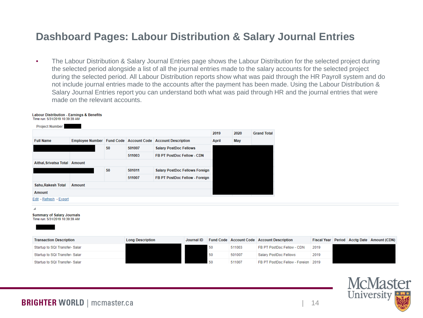### **Dashboard Pages: Labour Distribution & Salary Journal Entries**

• The Labour Distribution & Salary Journal Entries page shows the Labour Distribution for the selected project during the selected period alongside a list of all the journal entries made to the salary accounts for the selected project during the selected period. All Labour Distribution reports show what was paid through the HR Payroll system and do not include journal entries made to the accounts after the payment has been made. Using the Labour Distribution & Salary Journal Entries report you can understand both what was paid through HR and the journal entries that were made on the relevant accounts.

#### **Labour Distribution - Earnings & Benefits** Time run: 5/31/2019 10:39:39 AM **Project Number** 2019 2020 **Grand Total Full Name** Employee Number | Fund Code | Account Code | Account Description **April** May 50 501007 **Salary PostDoc Fellows** 511003 FB PT PostDoc Fellow - CDN Aithal, Srivatsa Total Amount 50 501011 **Salary PostDoc Fellows Foreign** 511007 FB PT PostDoc Fellow - Foreign Sahu, Rakesh Total Amount **Amount** Edit - Refresh - Export

**Summary of Salary Journals** Time run: 5/31/2019 10:39:39 AM

**Transaction Description Long Description** Journal ID Fund Code | Account Code | Account Description Fiscal Year Period Acctg Date Amount (CDN) Startup to SQI Transfer-Salar 50 511003 FB PT PostDoc Fellow - CDN 2019 Startup to SQI Transfer- Salar 50 501007 **Salary PostDoc Fellows** 2019 Startup to SQI Transfer- Salar 50 511007 FB PT PostDoc Fellow - Foreign 2019

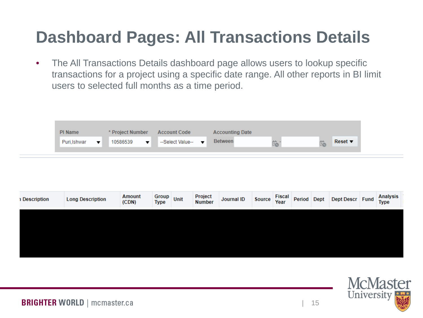# **Dashboard Pages: All Transactions Details**

• The All Transactions Details dashboard page allows users to lookup specific transactions for a project using a specific date range. All other reports in BI limit users to selected full months as a time period.

| <b>Between</b><br>-Select Value--<br>Reset $\blacktriangledown$<br>10586539<br>Puri.Ishwar<br>$\mathbf{v}$<br>$\blacksquare$ | PI Name | * Project Number | <b>Account Code</b> | <b>Accounting Date</b> |  |  |
|------------------------------------------------------------------------------------------------------------------------------|---------|------------------|---------------------|------------------------|--|--|
|                                                                                                                              |         |                  |                     |                        |  |  |

| <b>1 Description</b> | <b>Long Description</b> | Amount<br>(CDN) | Type | Group Unit | Project<br>Number | Journal ID | Source | Fiscal<br>Year | Period Dept | Dept Descr Fund | <b>Analysis</b><br><b>Type</b> |
|----------------------|-------------------------|-----------------|------|------------|-------------------|------------|--------|----------------|-------------|-----------------|--------------------------------|
|                      |                         |                 |      |            |                   |            |        |                |             |                 |                                |
|                      |                         |                 |      |            |                   |            |        |                |             |                 |                                |
|                      |                         |                 |      |            |                   |            |        |                |             |                 |                                |

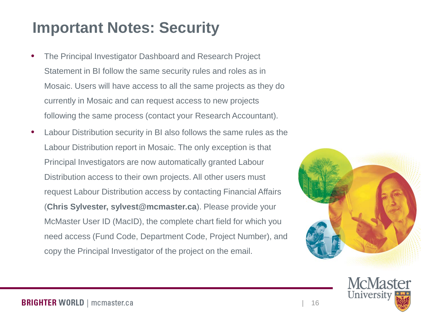## **Important Notes: Security**

- The Principal Investigator Dashboard and Research Project Statement in BI follow the same security rules and roles as in Mosaic. Users will have access to all the same projects as they do currently in Mosaic and can request access to new projects following the same process (contact your Research Accountant).
- Labour Distribution security in BI also follows the same rules as the Labour Distribution report in Mosaic. The only exception is that Principal Investigators are now automatically granted Labour Distribution access to their own projects. All other users must request Labour Distribution access by contacting Financial Affairs (**Chris Sylvester, sylvest@mcmaster.ca**). Please provide your McMaster User ID (MacID), the complete chart field for which you need access (Fund Code, Department Code, Project Number), and copy the Principal Investigator of the project on the email.



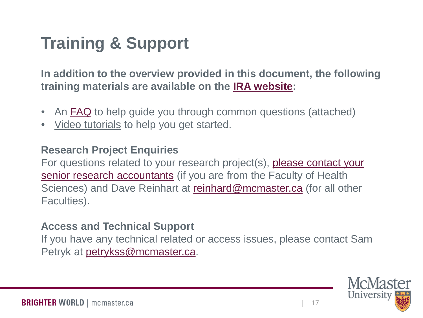# **Training & Support**

**In addition to the overview provided in this document, the following training materials are available on the [IRA website:](https://ira.mcmaster.ca/category/ira-portals/)**

- An [FAQ](https://ira.mcmaster.ca/pi-dashboard-research-project-statement-faq/) to help guide you through common questions (attached)
- Video tutorials to help you get started.

### **Research Project Enquiries**

For questions related to your research project(s), [please contact your](https://resfin.mcmaster.ca/contact-us)  [senior research accountants](https://resfin.mcmaster.ca/contact-us) (if you are from the Faculty of Health Sciences) and Dave Reinhart at [reinhard@mcmaster.ca](mailto:reinhard@mcmaster.ca) (for all other Faculties).

### **Access and Technical Support**

If you have any technical related or access issues, please contact Sam Petryk at [petrykss@mcmaster.ca.](mailto:petrykss@mcmaster.ca)